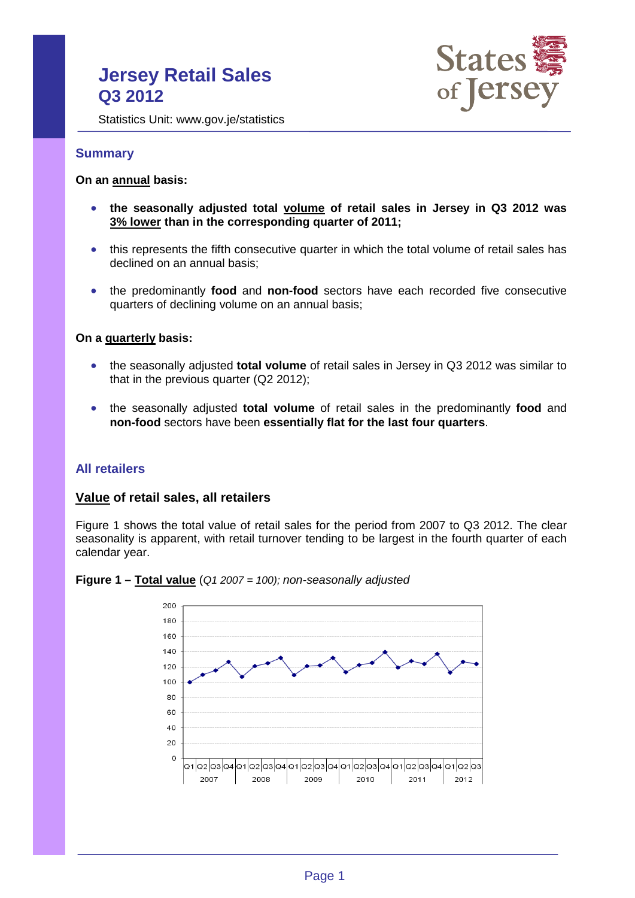# **Jersey Retail Sales Q3 2012**



Statistics Unit: www.gov.je/statistics

#### **Summary**

#### **On an annual basis:**

- **the seasonally adjusted total volume of retail sales in Jersey in Q3 2012 was 3% lower than in the corresponding quarter of 2011;**
- this represents the fifth consecutive quarter in which the total volume of retail sales has declined on an annual basis;
- the predominantly **food** and **non-food** sectors have each recorded five consecutive quarters of declining volume on an annual basis;

#### **On a quarterly basis:**

- the seasonally adjusted **total volume** of retail sales in Jersey in Q3 2012 was similar to that in the previous quarter (Q2 2012);
- the seasonally adjusted **total volume** of retail sales in the predominantly **food** and **non-food** sectors have been **essentially flat for the last four quarters**.

### **All retailers**

#### **Value of retail sales, all retailers**

Figure 1 shows the total value of retail sales for the period from 2007 to Q3 2012. The clear seasonality is apparent, with retail turnover tending to be largest in the fourth quarter of each calendar year.



<span id="page-0-0"></span>**Figure 1 – Total value** (*Q1 2007 = 100); non-seasonally adjusted*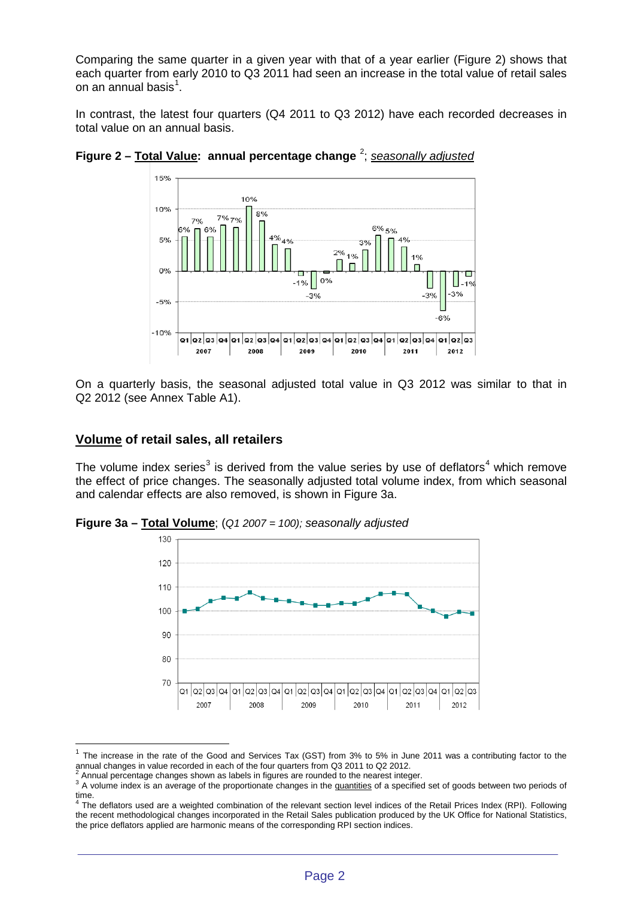Comparing the same quarter in a given year with that of a year earlier (Figure 2) shows that each quarter from early 2010 to Q3 2011 had seen an increase in the total value of retail sales on an annual basis $^1$  $^1$ .

In contrast, the latest four quarters (Q4 2011 to Q3 2012) have each recorded decreases in total value on an annual basis.





On a quarterly basis, the seasonal adjusted total value in Q3 2012 was similar to that in Q2 2012 (see Annex Table A1).

#### **Volume of retail sales, all retailers**

The volume index series<sup>[3](#page-1-1)</sup> is derived from the value series by use of deflators<sup>[4](#page-1-2)</sup> which remove the effect of price changes. The seasonally adjusted total volume index, from which seasonal and calendar effects are also removed, is shown in Figure 3a.

**Figure 3a – Total Volume**; (*Q1 2007 = 100); seasonally adjusted*



<sup>1</sup> The increase in the rate of the Good and Services Tax (GST) from 3% to 5% in June 2011 was a contributing factor to the annual changes in value recorded in each of the four quarters from Q3 2011 to Q2 2012.<br><sup>2</sup> Annual percentage changes shown as labels in figures are rounded to the nearest integer.

<span id="page-1-1"></span><span id="page-1-0"></span><sup>&</sup>lt;sup>3</sup> A volume index is an average of the proportionate changes in the quantities of a specified set of goods between two periods of time.

<span id="page-1-2"></span><sup>&</sup>lt;sup>4</sup> The deflators used are a weighted combination of the relevant section level indices of the Retail Prices Index (RPI). Following the recent methodological changes incorporated in the Retail Sales publication produced by the UK Office for National Statistics, the price deflators applied are harmonic means of the corresponding RPI section indices.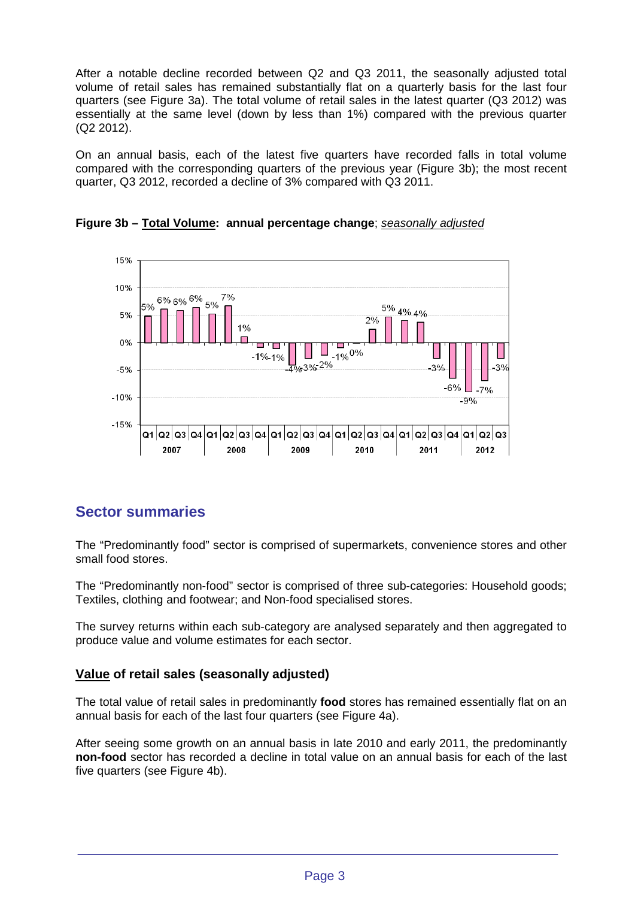After a notable decline recorded between Q2 and Q3 2011, the seasonally adjusted total volume of retail sales has remained substantially flat on a quarterly basis for the last four quarters (see Figure 3a). The total volume of retail sales in the latest quarter (Q3 2012) was essentially at the same level (down by less than 1%) compared with the previous quarter (Q2 2012).

On an annual basis, each of the latest five quarters have recorded falls in total volume compared with the corresponding quarters of the previous year (Figure 3b); the most recent quarter, Q3 2012, recorded a decline of 3% compared with Q3 2011.



**Figure 3b – Total Volume: annual percentage change**; *seasonally adjusted*

## **Sector summaries**

The "Predominantly food" sector is comprised of supermarkets, convenience stores and other small food stores.

The "Predominantly non-food" sector is comprised of three sub-categories: Household goods; Textiles, clothing and footwear; and Non-food specialised stores.

The survey returns within each sub-category are analysed separately and then aggregated to produce value and volume estimates for each sector.

### **Value of retail sales (seasonally adjusted)**

The total value of retail sales in predominantly **food** stores has remained essentially flat on an annual basis for each of the last four quarters (see Figure 4a).

After seeing some growth on an annual basis in late 2010 and early 2011, the predominantly **non-food** sector has recorded a decline in total value on an annual basis for each of the last five quarters (see Figure 4b).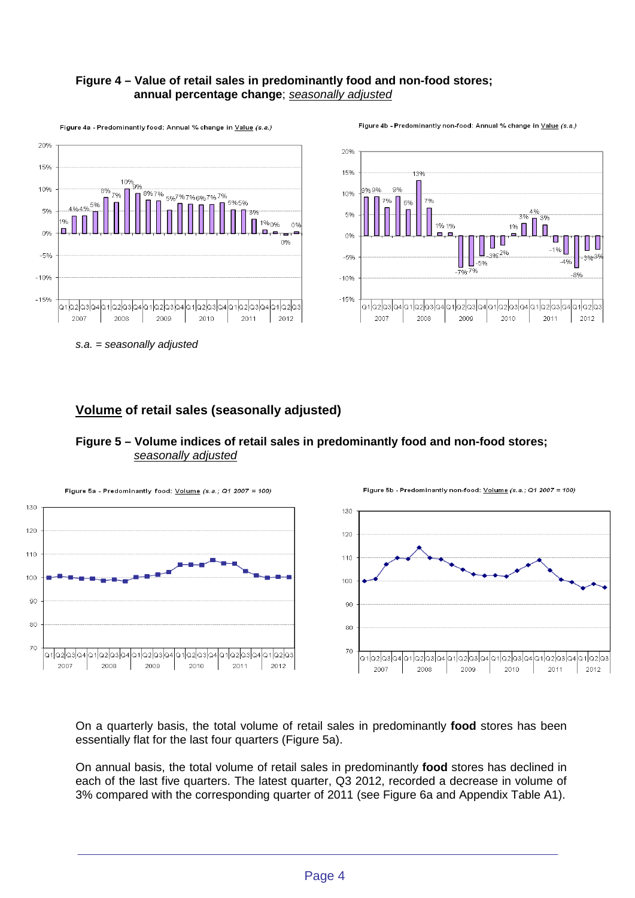#### **Figure 4 – Value of retail sales in predominantly food and non-food stores; annual percentage change**; *seasonally adjusted*



*s.a. = seasonally adjusted*

## **Volume of retail sales (seasonally adjusted)**



#### **Figure 5 – Volume indices of retail sales in predominantly food and non-food stores;** *seasonally adjusted*

On a quarterly basis, the total volume of retail sales in predominantly **food** stores has been essentially flat for the last four quarters (Figure 5a).

On annual basis, the total volume of retail sales in predominantly **food** stores has declined in each of the last five quarters. The latest quarter, Q3 2012, recorded a decrease in volume of 3% compared with the corresponding quarter of 2011 (see Figure 6a and Appendix Table A1).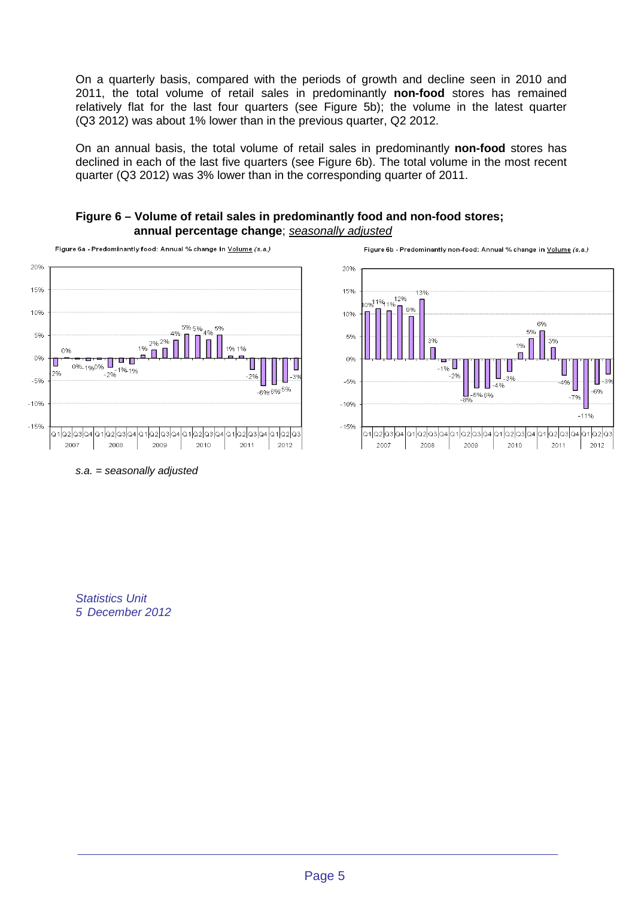On a quarterly basis, compared with the periods of growth and decline seen in 2010 and 2011, the total volume of retail sales in predominantly **non-food** stores has remained relatively flat for the last four quarters (see Figure 5b); the volume in the latest quarter (Q3 2012) was about 1% lower than in the previous quarter, Q2 2012.

On an annual basis, the total volume of retail sales in predominantly **non-food** stores has declined in each of the last five quarters (see Figure 6b). The total volume in the most recent quarter (Q3 2012) was 3% lower than in the corresponding quarter of 2011.

#### **Figure 6 – Volume of retail sales in predominantly food and non-food stores; annual percentage change**; *seasonally adjusted*





*s.a. = seasonally adjusted*

*Statistics Unit 5 December 2012*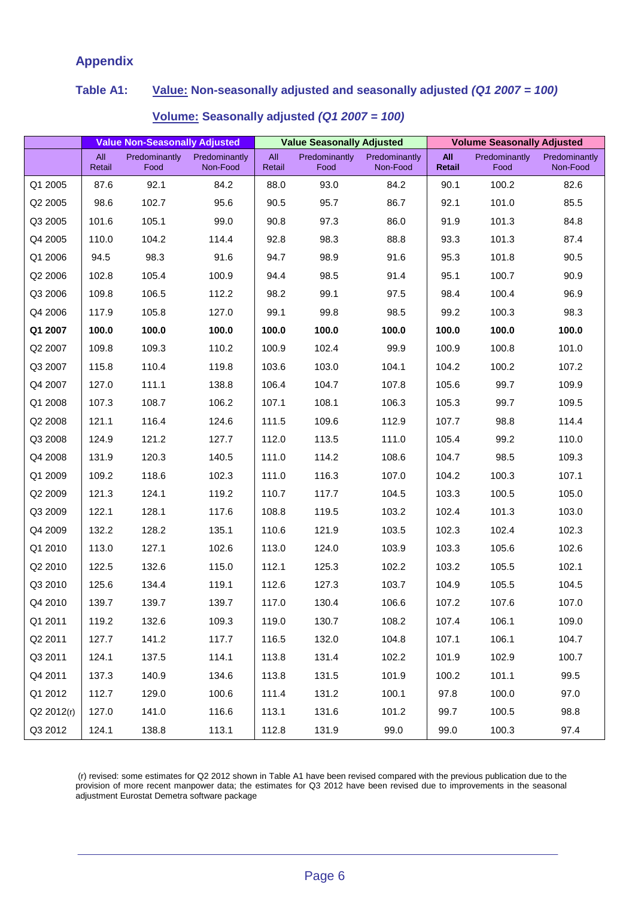## **Appendix**

## **Table A1: Value: Non-seasonally adjusted and seasonally adjusted** *(Q1 2007 = 100)*

|            | <b>Value Non-Seasonally Adjusted</b> |                       |                           | <b>Value Seasonally Adjusted</b> |                              |                           | <b>Volume Seasonally Adjusted</b> |                       |                           |
|------------|--------------------------------------|-----------------------|---------------------------|----------------------------------|------------------------------|---------------------------|-----------------------------------|-----------------------|---------------------------|
|            | All<br>Retail                        | Predominantly<br>Food | Predominantly<br>Non-Food | All<br>Retail                    | <b>Predominantly</b><br>Food | Predominantly<br>Non-Food | All<br><b>Retail</b>              | Predominantly<br>Food | Predominantly<br>Non-Food |
| Q1 2005    | 87.6                                 | 92.1                  | 84.2                      | 88.0                             | 93.0                         | 84.2                      | 90.1                              | 100.2                 | 82.6                      |
| Q2 2005    | 98.6                                 | 102.7                 | 95.6                      | 90.5                             | 95.7                         | 86.7                      | 92.1                              | 101.0                 | 85.5                      |
| Q3 2005    | 101.6                                | 105.1                 | 99.0                      | 90.8                             | 97.3                         | 86.0                      | 91.9                              | 101.3                 | 84.8                      |
| Q4 2005    | 110.0                                | 104.2                 | 114.4                     | 92.8                             | 98.3                         | 88.8                      | 93.3                              | 101.3                 | 87.4                      |
| Q1 2006    | 94.5                                 | 98.3                  | 91.6                      | 94.7                             | 98.9                         | 91.6                      | 95.3                              | 101.8                 | 90.5                      |
| Q2 2006    | 102.8                                | 105.4                 | 100.9                     | 94.4                             | 98.5                         | 91.4                      | 95.1                              | 100.7                 | 90.9                      |
| Q3 2006    | 109.8                                | 106.5                 | 112.2                     | 98.2                             | 99.1                         | 97.5                      | 98.4                              | 100.4                 | 96.9                      |
| Q4 2006    | 117.9                                | 105.8                 | 127.0                     | 99.1                             | 99.8                         | 98.5                      | 99.2                              | 100.3                 | 98.3                      |
| Q1 2007    | 100.0                                | 100.0                 | 100.0                     | 100.0                            | 100.0                        | 100.0                     | 100.0                             | 100.0                 | 100.0                     |
| Q2 2007    | 109.8                                | 109.3                 | 110.2                     | 100.9                            | 102.4                        | 99.9                      | 100.9                             | 100.8                 | 101.0                     |
| Q3 2007    | 115.8                                | 110.4                 | 119.8                     | 103.6                            | 103.0                        | 104.1                     | 104.2                             | 100.2                 | 107.2                     |
| Q4 2007    | 127.0                                | 111.1                 | 138.8                     | 106.4                            | 104.7                        | 107.8                     | 105.6                             | 99.7                  | 109.9                     |
| Q1 2008    | 107.3                                | 108.7                 | 106.2                     | 107.1                            | 108.1                        | 106.3                     | 105.3                             | 99.7                  | 109.5                     |
| Q2 2008    | 121.1                                | 116.4                 | 124.6                     | 111.5                            | 109.6                        | 112.9                     | 107.7                             | 98.8                  | 114.4                     |
| Q3 2008    | 124.9                                | 121.2                 | 127.7                     | 112.0                            | 113.5                        | 111.0                     | 105.4                             | 99.2                  | 110.0                     |
| Q4 2008    | 131.9                                | 120.3                 | 140.5                     | 111.0                            | 114.2                        | 108.6                     | 104.7                             | 98.5                  | 109.3                     |
| Q1 2009    | 109.2                                | 118.6                 | 102.3                     | 111.0                            | 116.3                        | 107.0                     | 104.2                             | 100.3                 | 107.1                     |
| Q2 2009    | 121.3                                | 124.1                 | 119.2                     | 110.7                            | 117.7                        | 104.5                     | 103.3                             | 100.5                 | 105.0                     |
| Q3 2009    | 122.1                                | 128.1                 | 117.6                     | 108.8                            | 119.5                        | 103.2                     | 102.4                             | 101.3                 | 103.0                     |
| Q4 2009    | 132.2                                | 128.2                 | 135.1                     | 110.6                            | 121.9                        | 103.5                     | 102.3                             | 102.4                 | 102.3                     |
| Q1 2010    | 113.0                                | 127.1                 | 102.6                     | 113.0                            | 124.0                        | 103.9                     | 103.3                             | 105.6                 | 102.6                     |
| Q2 2010    | 122.5                                | 132.6                 | 115.0                     | 112.1                            | 125.3                        | 102.2                     | 103.2                             | 105.5                 | 102.1                     |
| Q3 2010    | 125.6                                | 134.4                 | 119.1                     | 112.6                            | 127.3                        | 103.7                     | 104.9                             | 105.5                 | 104.5                     |
| Q4 2010    | 139.7                                | 139.7                 | 139.7                     | 117.0                            | 130.4                        | 106.6                     | 107.2                             | 107.6                 | 107.0                     |
| Q1 2011    | 119.2                                | 132.6                 | 109.3                     | 119.0                            | 130.7                        | 108.2                     | 107.4                             | 106.1                 | 109.0                     |
| Q2 2011    | 127.7                                | 141.2                 | 117.7                     | 116.5                            | 132.0                        | 104.8                     | 107.1                             | 106.1                 | 104.7                     |
| Q3 2011    | 124.1                                | 137.5                 | 114.1                     | 113.8                            | 131.4                        | 102.2                     | 101.9                             | 102.9                 | 100.7                     |
| Q4 2011    | 137.3                                | 140.9                 | 134.6                     | 113.8                            | 131.5                        | 101.9                     | 100.2                             | 101.1                 | 99.5                      |
| Q1 2012    | 112.7                                | 129.0                 | 100.6                     | 111.4                            | 131.2                        | 100.1                     | 97.8                              | 100.0                 | 97.0                      |
| Q2 2012(r) | 127.0                                | 141.0                 | 116.6                     | 113.1                            | 131.6                        | 101.2                     | 99.7                              | 100.5                 | 98.8                      |
| Q3 2012    | 124.1                                | 138.8                 | 113.1                     | 112.8                            | 131.9                        | 99.0                      | 99.0                              | 100.3                 | 97.4                      |

#### **Volume: Seasonally adjusted** *(Q1 2007 = 100)*

(r) revised: some estimates for Q2 2012 shown in Table A1 have been revised compared with the previous publication due to the provision of more recent manpower data; the estimates for Q3 2012 have been revised due to improvements in the seasonal adjustment Eurostat Demetra software package